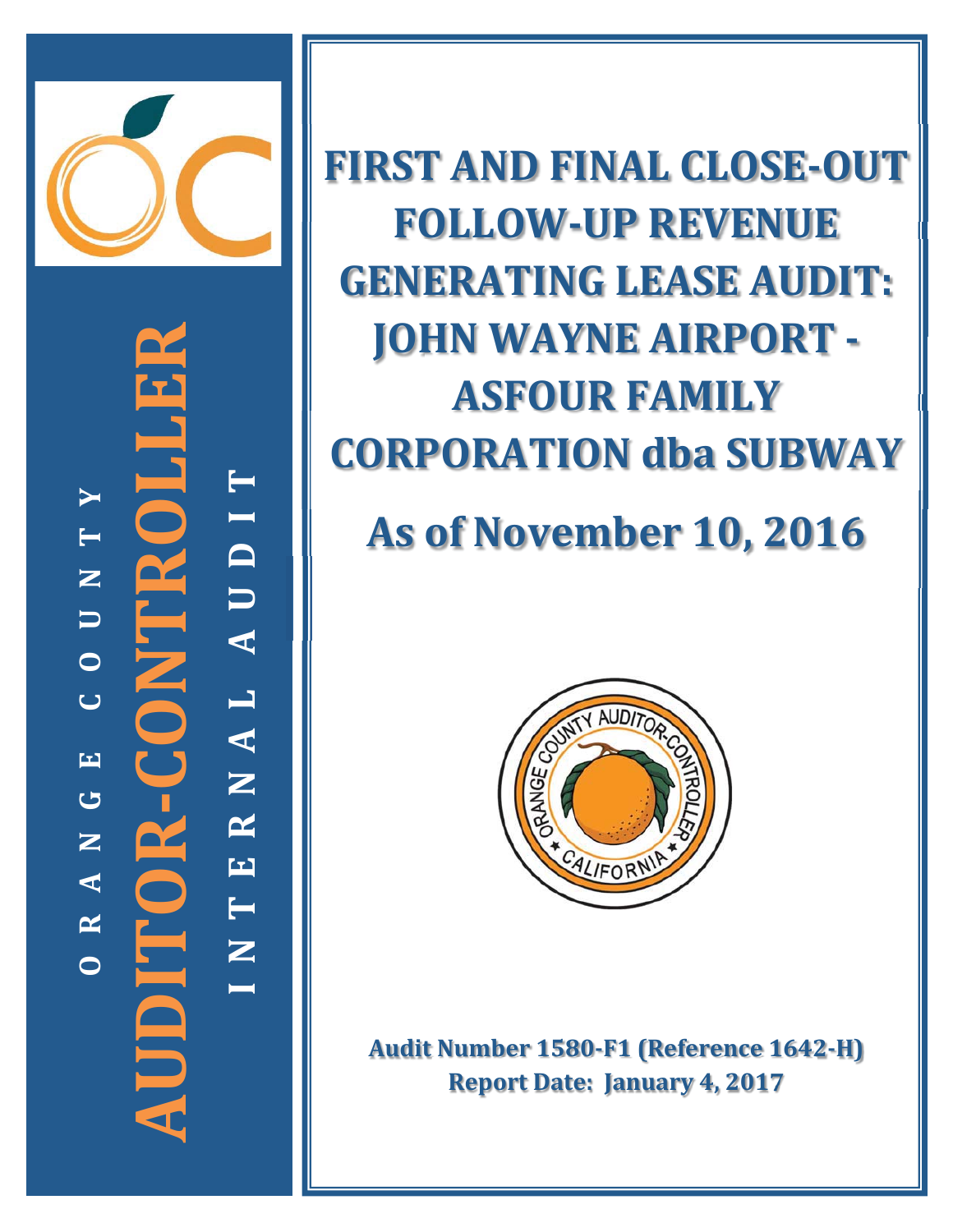

**ǦCONTROLLER** i<br>Di **TYI T D** UDITOR-CONTR **N U U A O L C A EN G R AUDITOR N E A T R N OI**

**FIRST AND FINAL CLOSEǦOUT FOLLOWǦUP REVENUE GENERATING LEASE AUDIT: JOHN WAYNE AIRPORT -ASFOUR FAMILY CORPORATION dba SUBWAY**

# **As of November 10, 2016**



**Audit Number 1580ǦF1 (Reference 1642ǦH) Report Date:January 4, 2017**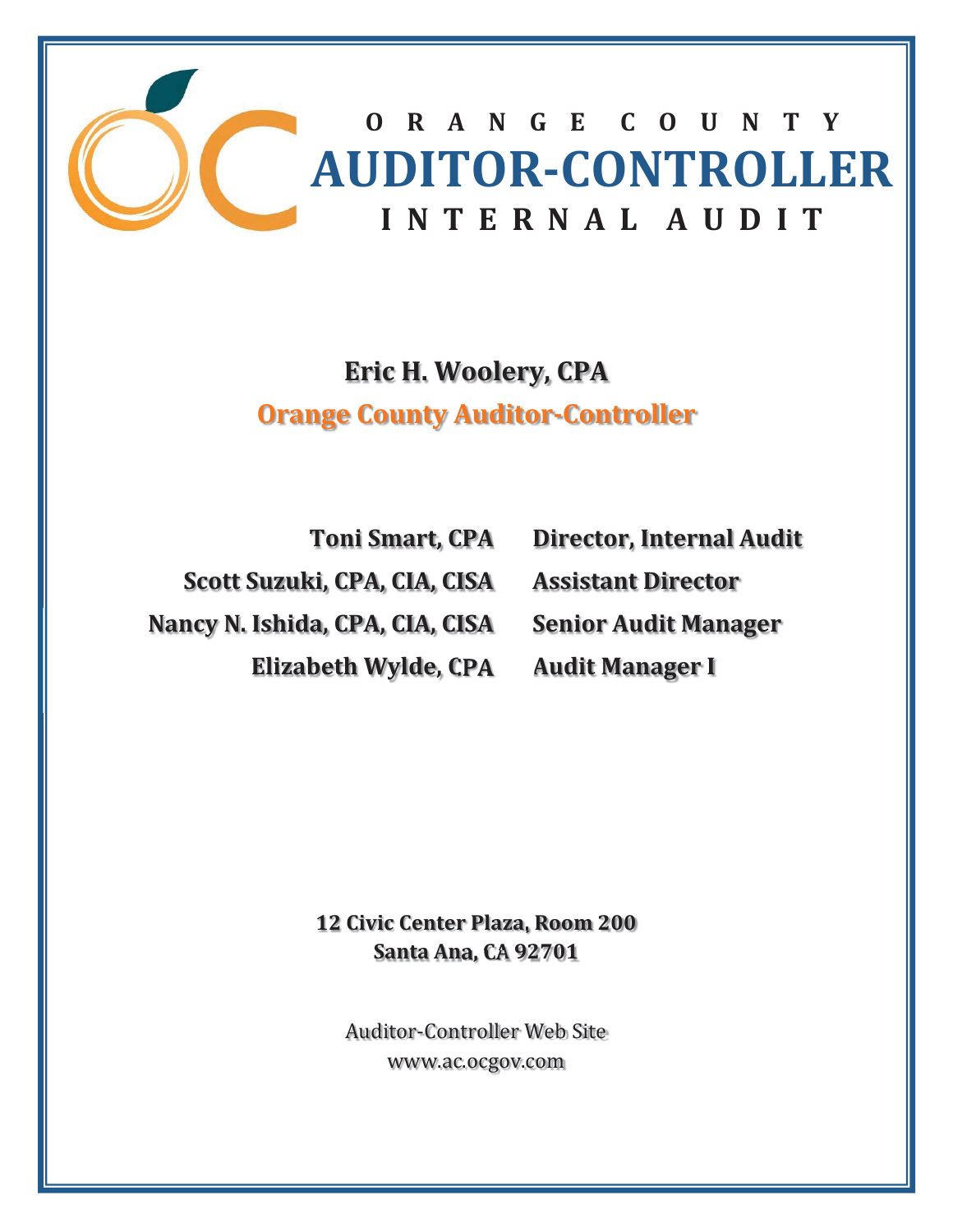

# **Eric H. Woolery, CPA Orange County AuditorǦController**

**Toni Smart, CPA Scott Suzuki, CPA, CIA, CISA Nancy N. Ishida, CPA, CIA, CISA Elizabeth Wylde, CPA**

**Director, Internal Audit Assistant Director Senior Audit Manager Audit Manager I**

**12 Civic Center Plaza, Room 200 Santa Ana, CA 92701**

**Auditor-Controller Web Site** www.ac.ocgov.com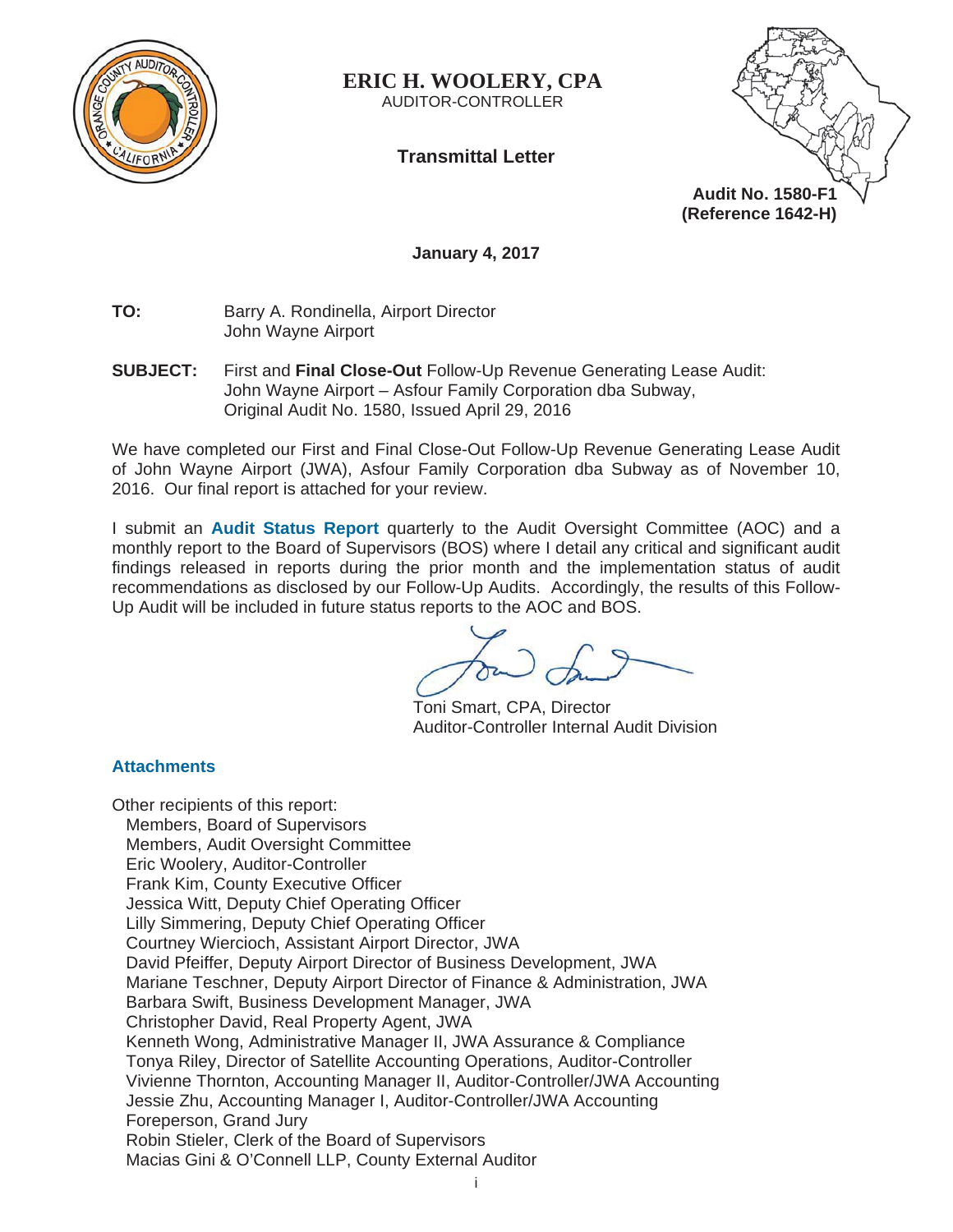

**ERIC H. WOOLERY, CPA**  AUDITOR-CONTROLLER

**Transmittal Letter** 



**January 4, 2017** 

**TO:** Barry A. Rondinella, Airport Director John Wayne Airport

**SUBJECT:** First and **Final Close-Out** Follow-Up Revenue Generating Lease Audit: John Wayne Airport – Asfour Family Corporation dba Subway, Original Audit No. 1580, Issued April 29, 2016

We have completed our First and Final Close-Out Follow-Up Revenue Generating Lease Audit of John Wayne Airport (JWA), Asfour Family Corporation dba Subway as of November 10, 2016. Our final report is attached for your review.

I submit an **Audit Status Report** quarterly to the Audit Oversight Committee (AOC) and a monthly report to the Board of Supervisors (BOS) where I detail any critical and significant audit findings released in reports during the prior month and the implementation status of audit recommendations as disclosed by our Follow-Up Audits. Accordingly, the results of this Follow-Up Audit will be included in future status reports to the AOC and BOS.

Toni Smart, CPA, Director Auditor-Controller Internal Audit Division

# **Attachments**

Other recipients of this report: Members, Board of Supervisors Members, Audit Oversight Committee Eric Woolery, Auditor-Controller Frank Kim, County Executive Officer Jessica Witt, Deputy Chief Operating Officer Lilly Simmering, Deputy Chief Operating Officer Courtney Wiercioch, Assistant Airport Director, JWA David Pfeiffer, Deputy Airport Director of Business Development, JWA Mariane Teschner, Deputy Airport Director of Finance & Administration, JWA Barbara Swift, Business Development Manager, JWA Christopher David, Real Property Agent, JWA Kenneth Wong, Administrative Manager II, JWA Assurance & Compliance Tonya Riley, Director of Satellite Accounting Operations, Auditor-Controller Vivienne Thornton, Accounting Manager II, Auditor-Controller/JWA Accounting Jessie Zhu, Accounting Manager I, Auditor-Controller/JWA Accounting Foreperson, Grand Jury Robin Stieler, Clerk of the Board of Supervisors Macias Gini & O'Connell LLP, County External Auditor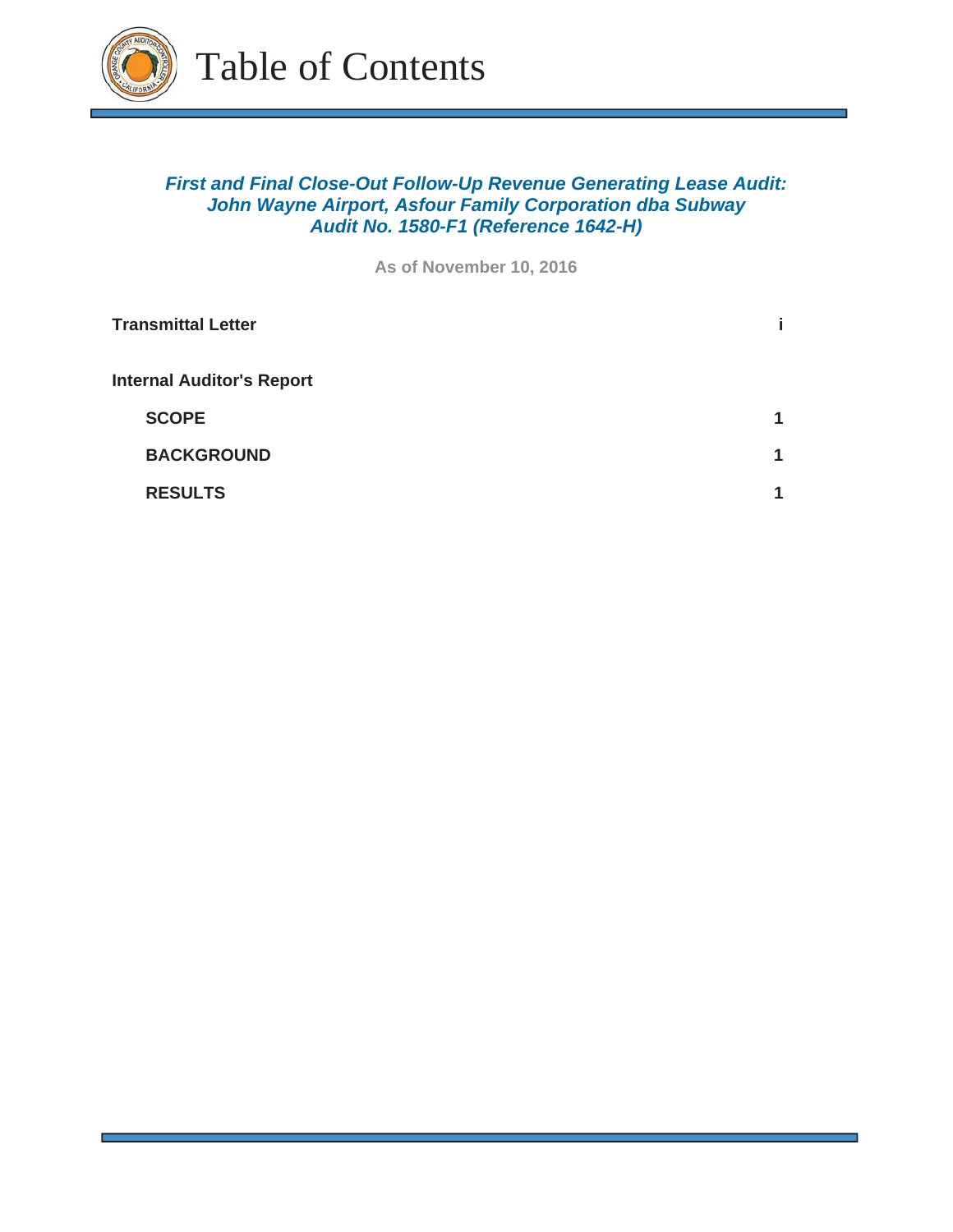

# *First and Final Close-Out Follow-Up Revenue Generating Lease Audit: John Wayne Airport, Asfour Family Corporation dba Subway Audit No. 1580-F1 (Reference 1642-H)*

**As of November 10, 2016**

| <b>Transmittal Letter</b>        |   |
|----------------------------------|---|
| <b>Internal Auditor's Report</b> |   |
| <b>SCOPE</b>                     | 1 |
| <b>BACKGROUND</b>                | 1 |
| <b>RESULTS</b>                   | и |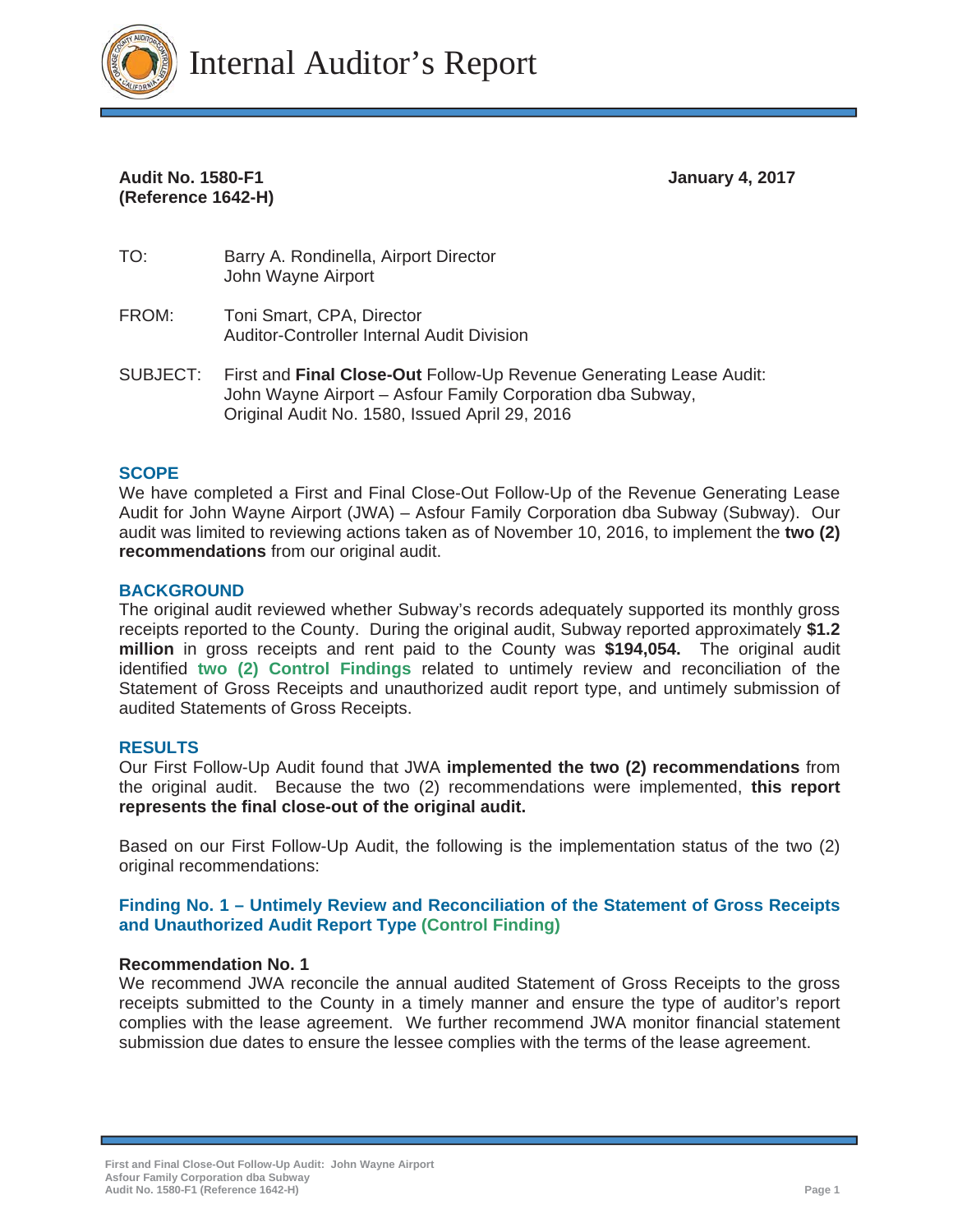

# Audit No. 1580-F1 **January 4, 2017 (Reference 1642-H)**

- TO: Barry A. Rondinella, Airport Director John Wayne Airport
- FROM: Toni Smart, CPA, Director Auditor-Controller Internal Audit Division
- SUBJECT: First and **Final Close-Out** Follow-Up Revenue Generating Lease Audit: John Wayne Airport – Asfour Family Corporation dba Subway, Original Audit No. 1580, Issued April 29, 2016

#### **SCOPE**

We have completed a First and Final Close-Out Follow-Up of the Revenue Generating Lease Audit for John Wayne Airport (JWA) – Asfour Family Corporation dba Subway (Subway). Our audit was limited to reviewing actions taken as of November 10, 2016, to implement the **two (2) recommendations** from our original audit.

#### **BACKGROUND**

The original audit reviewed whether Subway's records adequately supported its monthly gross receipts reported to the County. During the original audit, Subway reported approximately **\$1.2 million** in gross receipts and rent paid to the County was **\$194,054.** The original audit identified **two (2) Control Findings** related to untimely review and reconciliation of the Statement of Gross Receipts and unauthorized audit report type, and untimely submission of audited Statements of Gross Receipts.

#### **RESULTS**

Our First Follow-Up Audit found that JWA **implemented the two (2) recommendations** from the original audit. Because the two (2) recommendations were implemented, **this report represents the final close-out of the original audit.**

Based on our First Follow-Up Audit, the following is the implementation status of the two (2) original recommendations:

#### **Finding No. 1 – Untimely Review and Reconciliation of the Statement of Gross Receipts and Unauthorized Audit Report Type (Control Finding)**

#### **Recommendation No. 1**

We recommend JWA reconcile the annual audited Statement of Gross Receipts to the gross receipts submitted to the County in a timely manner and ensure the type of auditor's report complies with the lease agreement. We further recommend JWA monitor financial statement submission due dates to ensure the lessee complies with the terms of the lease agreement.